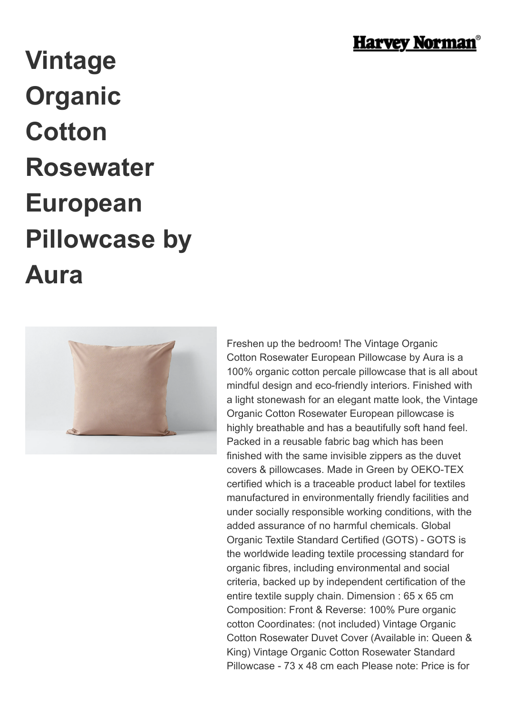

## **Vintage Organic Cotton Rosewater European Pillowcase by Aura**



Freshen up the bedroom! The Vintage Organic Cotton Rosewater European Pillowcase by Aura is a 100% organic cotton percale pillowcase that is all about mindful design and eco-friendly interiors. Finished with a light stonewash for an elegant matte look, the Vintage Organic Cotton Rosewater European pillowcase is highly breathable and has a beautifully soft hand feel. Packed in a reusable fabric bag which has been finished with the same invisible zippers as the duvet covers & pillowcases. Made in Green by OEKO-TEX certified which is a traceable product label for textiles manufactured in environmentally friendly facilities and under socially responsible working conditions, with the added assurance of no harmful chemicals. Global Organic Textile Standard Certified (GOTS) - GOTS is the worldwide leading textile processing standard for organic fibres, including environmental and social criteria, backed up by independent certification of the entire textile supply chain. Dimension : 65 x 65 cm Composition: Front & Reverse: 100% Pure organic cotton Coordinates: (not included) Vintage Organic Cotton Rosewater Duvet Cover (Available in: Queen & King) Vintage Organic Cotton Rosewater Standard Pillowcase - 73 x 48 cm each Please note: Price is for